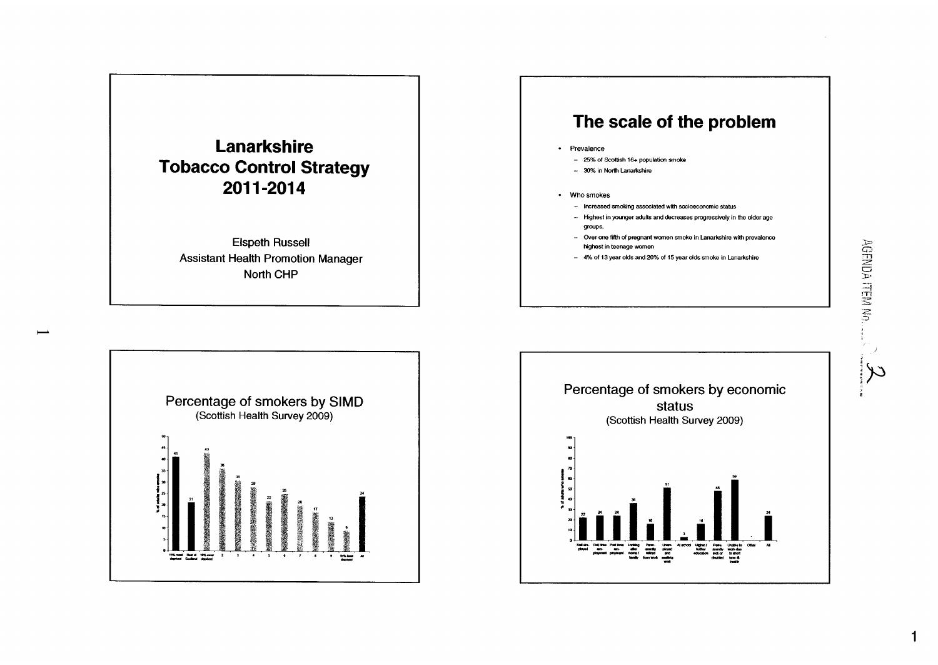

**Elspeth Russell Assistant Health Promotion Manager North CHP** 

 $\overline{\phantom{0}}$ 

## **The scale of the problem**

- **Prevalence** 
	- *2!5%* **of Scottish 16+ population** *smoke*
	- **J)%inNorthLanarkhire**
- **Who smokes** 
	- **Increased smoking associated with socioeconomic status**
	- **Highest in ywnger adults and decreases prcgressively in the dder age grwps.**
	- Over one fifth of pregnant women smoke in Lanarkshire with prevalence **Hghast in teenage women**
	- **4%of 13yearoldsand2O%of 15yearddsmokein Lanarkshire**



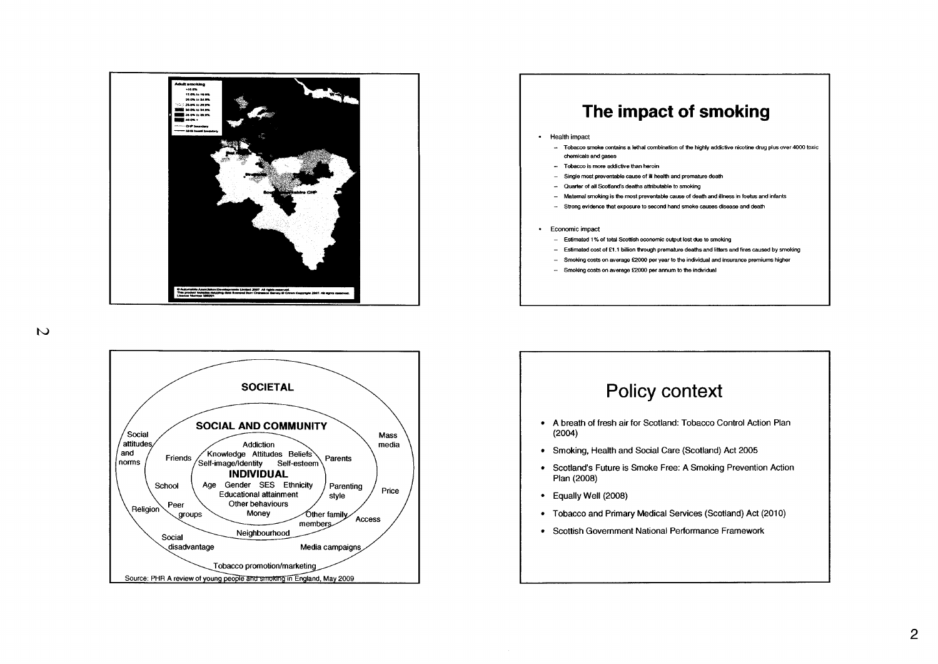

### **The impact of smoking**

#### - Health impact

- Tobacco smoke mntaim a lethal combination **of the** highly addictive nicotine drug plus **over 4000** toxic chernids and **wses**
- **Tobacco** is more addictive than heroin
- Single most preventable cause of ill health and premature death
- Quarter of all Scotland's deaths attributable to smoking
- Maternal **smohing** is most preventable **cause** of death and illness **m** foetus and infants
- Strong evidence that exposure to second hand smoke causes disease and death

#### - Economic impact

- Estimated 1 **%of** tot4 **Scomsh** Bconornic *ouiput* lost to smoking
- Estimated wst of **fl.l** billion through premaiure deaths and litters and fires caused by **snwldng**
- Srnoldng **mts on** average **f2000** per year to the individual and insurance premiums higher
- **Srnoldng costs** on average **E2000** per annum to the indvidual



## Policy context

- A breath of fresh air for Scotland: Tobacco Control Action Plan (2004)
- Smoking, Health and Social Care (Scotland) Act 2005
- Scotland's Future is Smoke Free: A Smoking Prevention Action Plan (2008)
- Equally Well (2008)
- Tobacco and Primary Medical Services (Scotland) Act (2010)
- Scottish Government National Performance Framework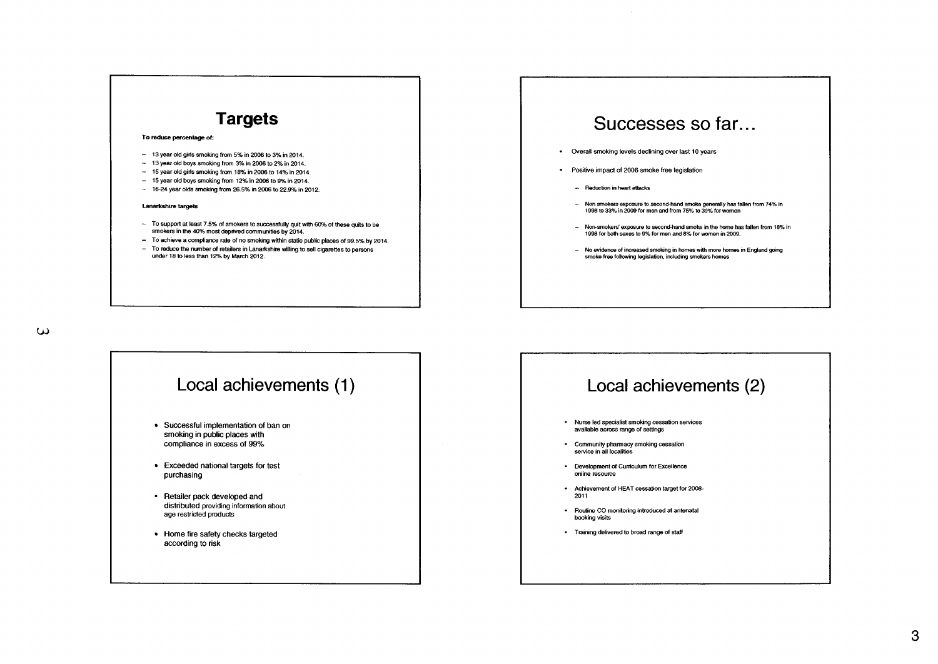# **Targets To reduce percentage of:**

- 13 year old girls smoking from 5% in 2006 to 3% in 2014.
- 13 year old boys smoking from 3% in 2006 to 2% in 2014.
- **15yearoldgirlssmokingfrm** 18%in2006to 14%in2014.
- $-$  15 year old boys smoking from 12% in 2006 to 9% in 2014.
- $-$  16-24 year olds smoking from 26.5% in 2006 to 22.9% in 2012.

#### Lanarkshire **targets**

- To support at least 7.5% of smokers to successfully quit with 60% of these quits to be smokers in the 40% most deprived communities by 2014.
- To achieve a compliance rate of no smoking within static public places of 99.5% by 2014.
- To reduce the number of retailers in Lanarkshire willing to sell cigarettes to persons under **18** to less than **1296** bv March 2012.

### w



### Successes so far.. .

- Overall smoking levels declining over last 10 years
- Positive impact of 2006 smoke free legislation
	- Reduction in heart attacks
	- Non **smokers** exposure to second-hand **smoke** generally has fallen from 74% in **1998 to 33% in 2009 for men and from 75% to 39% for women**
	- **Nowsmokers' expaswe** to **mn&M** smoke in the **hwne has** fallen from **18%** in 1998 fw both sexes to **9?&** for **men and** 8% for women In *2009.*
	- No evidence of increased smoking in **homes** with more **hwnes m** England going smoke free following legislation, including smokers homes

### Local achievements (2)

- Nurse **led** specialist smoking cessation sewices available across range of settings
- Community pharmacy smoking cessation service in all localities
- Development of Cumculum for Excellence online resource
- Achievement *d* HEAT cessation target for 2008- 2011
- Routine CO monitoring introduced at antenatal booking visits
- Training delivered to broad range of staff **f**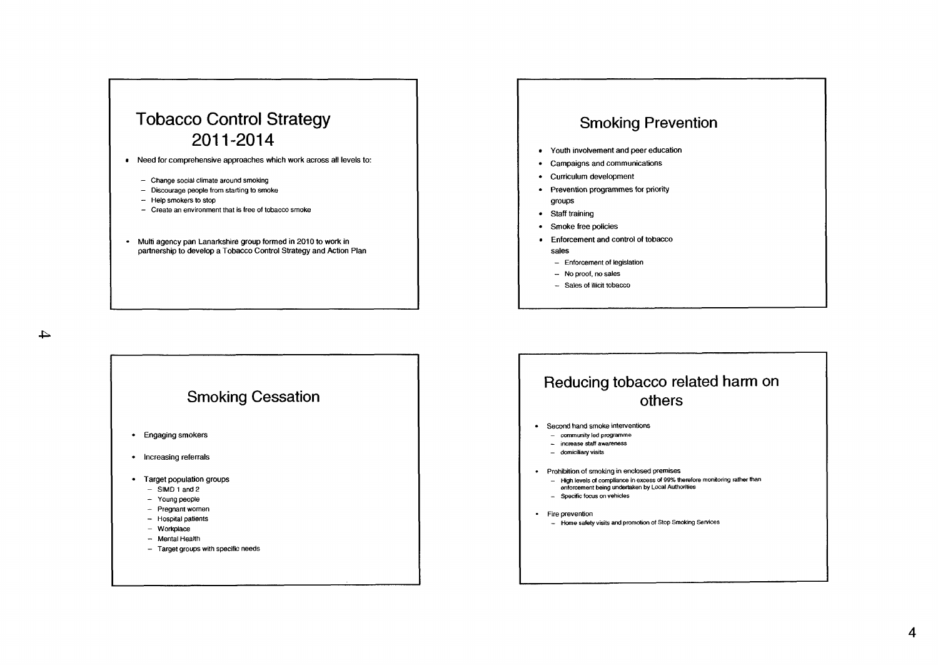### Tobacco Control Strategy 2011-2014

- Need for comprehensive approaches which work across all levels to:
	- Change social climate around smoking
	- Discourage people from starting to smoke
	- Help smokers to stop
	- Create an environment that is free of tobacco smoke
- Multi agency pan Lanarkshire group formed in 2010 to work in partnership to develop a Tobacco Control Strategy and Action Plan

### Smoking Prevention

- Youth involvement and peer education
- Campaigns and communications
- Curriculum development
- Prevention programmes for priority groups
- Staff training
- Smoke free policies
- Enforcement and control of tobacco sales
	- Enforcement of legislation
	- No proof, no sales
	- Sales **of** illicit tobacco

 $\rightarrow$ 



### Reducing tobacco related harm on others

- Second **hand** smoke interventions
	- **community** led **programme**
	- **increase staff awareness**
	- **domiciliaryvisits**
- Prohibition of smoking in enclosed premises
	- **High levels** *d* **mpliance in excess** *d* **99% therefore monitoring rather than**
	- **enlorcement being undertaken by Local Authorities**
	- Specific focus on vehicles
- Fire prevention
	- **Home sabty visits and promotion of Stop Smoking SeNlceS**